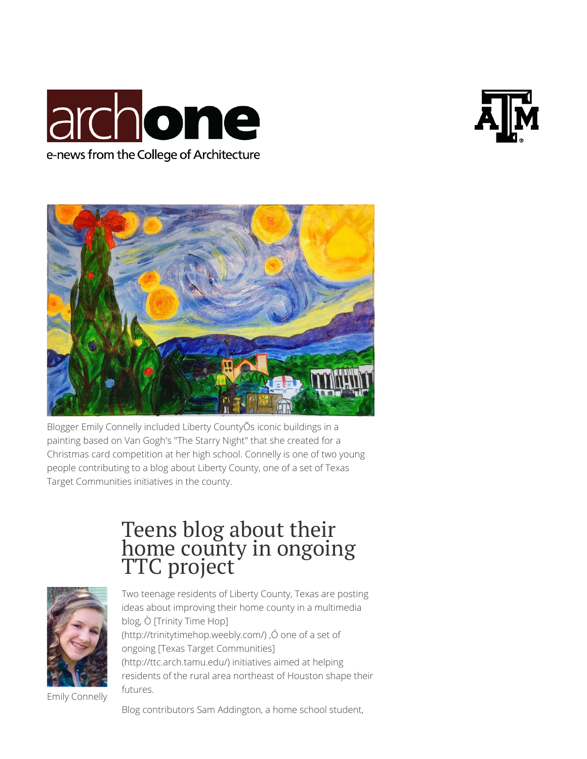





Blogger Emily Connelly included Liberty CountyÕs iconic buildings in a painting based on Van Gogh's "The Starry Night" that she created for a Christmas card competition at her high school. Connelly is one of two young people contributing to a blog about Liberty County, one of a set of Texas Target Communities initiatives in the county.

## Teens blog about their home county in ongoing TTC project



Two teenage residents of Liberty County, Texas are posting ideas about improving their home county in a multimedia blog, Ò [Trinity Time Hop] (http://trinitytimehop.weebly.com/), $\acute{o}$  one of a set of ongoing [Texas Target Communities] (http://ttc.arch.tamu.edu/) initiatives aimed at helping residents of the rural area northeast of Houston shape their futures.

Emily Connelly

Blog contributors Sam Addington, a home school student,